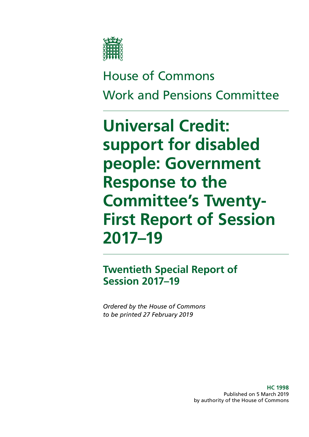

# House of Commons Work and Pensions Committee

# **Universal Credit: support for disabled people: Government Response to the Committee's Twenty-First Report of Session 2017–19**

# **Twentieth Special Report of Session 2017–19**

*Ordered by the House of Commons to be printed 27 February 2019*

> **HC 1998** Published on 5 March 2019 by authority of the House of Commons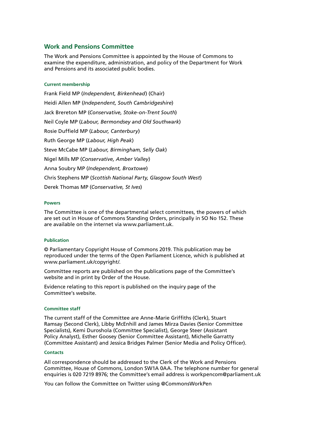#### **Work and Pensions Committee**

The Work and Pensions Committee is appointed by the House of Commons to examine the expenditure, administration, and policy of the Department for Work and Pensions and its associated public bodies.

#### **Current membership**

[Frank Field MP](https://www.parliament.uk/biographies/commons/frank-field/478) (*Independent, Birkenhead*) (Chair) [Heidi Allen MP](https://www.parliament.uk/biographies/commons/heidi-allen/4516) (*Independent, South Cambridgeshire*) [Jack Brereton MP](https://www.parliament.uk/biographies/commons/jack-brereton/4643) (*Conservative, Stoke-on-Trent South*) [Neil Coyle MP](https://www.parliament.uk/biographies/commons/neil-coyle/4368) (*Labour, Bermondsey and Old Southwark*) [Rosie Duffield MP](https://www.parliament.uk/biographies/commons/rosie-duffield/4616) (*Labour, Canterbury*) [Ruth George MP](https://www.parliament.uk/biographies/commons/ruth-george/4662) (*Labour, High Peak*) [Steve McCabe MP](https://www.parliament.uk/biographies/commons/steve-mccabe/298) (*Labour, Birmingham, Selly Oak*) [Nigel Mills MP](https://www.parliament.uk/biographies/commons/nigel-mills/4136) (*Conservative, Amber Valley*) [Anna Soubry MP](https://www.parliament.uk/biographies/commons/anna-soubry/3938) (*Independent, Broxtowe*) [Chris Stephens MP](https://www.parliament.uk/biographies/commons/chris-stephens/4463) (*Scottish National Party, Glasgow South West*) [Derek Thomas MP](https://www.parliament.uk/biographies/commons/derek-thomas/4532) (*Conservative, St Ives*)

#### **Powers**

The Committee is one of the departmental select committees, the powers of which are set out in House of Commons Standing Orders, principally in SO No 152. These are available on the internet via [www.parliament.uk.](https://www.parliament.uk/)

#### **Publication**

© Parliamentary Copyright House of Commons 2019. This publication may be reproduced under the terms of the Open Parliament Licence, which is published at [www.parliament.uk/copyright/.](https://www.parliament.uk/copyright/)

Committee reports are published on the [publications page](https://www.parliament.uk/business/committees/committees-a-z/commons-select/work-and-pensions-committee/inquiries/parliament-2017/inquiry/publications/) of the Committee's website and in print by Order of the House.

Evidence relating to this report is published on the [inquiry page](https://www.parliament.uk/business/committees/committees-a-z/commons-select/work-and-pensions-committee/inquiries/parliament-2017/inquiry/) of the Committee's website.

#### **Committee staff**

The current staff of the Committee are Anne-Marie Griffiths (Clerk), Stuart Ramsay (Second Clerk), Libby McEnhill and James Mirza Davies (Senior Committee Specialists), Kemi Duroshola (Committee Specialist), George Steer (Assistant Policy Analyst), Esther Goosey (Senior Committee Assistant), Michelle Garratty (Committee Assistant) and Jessica Bridges Palmer (Senior Media and Policy Officer).

#### **Contacts**

All correspondence should be addressed to the Clerk of the Work and Pensions Committee, House of Commons, London SW1A 0AA. The telephone number for general enquiries is 020 7219 8976; the Committee's email address is [workpencom@parliament.uk](mailto:workpencom%40parliament.uk?subject=)

You can follow the Committee on Twitter using [@CommonsWorkPen](https://twitter.com/CommonsWorkPen?ref_src=twsrc%5Egoogle%7Ctwcamp%5Eserp%7Ctwgr%5Eauthor)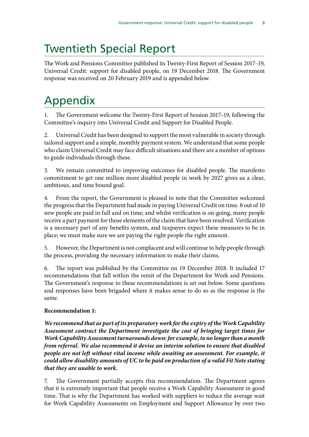# Twentieth Special Report

The Work and Pensions Committee published its Twenty-First Report of Session 2017–19, [Universal Credit: support for disabled people,](https://publications.parliament.uk/pa/cm201719/cmselect/cmworpen/1770/177002.htm) on 19 December 2018. The Government response was received on 20 February 2019 and is appended below.

# Appendix

1. The Government welcome the Twenty-First Report of Session 2017–19, following the Committee's inquiry into Universal Credit and Support for Disabled People.

2. Universal Credit has been designed to support the most vulnerable in society through tailored support and a simple, monthly payment system. We understand that some people who claim Universal Credit may face difficult situations and there are a number of options to guide individuals through these.

3. We remain committed to improving outcomes for disabled people. The manifesto commitment to get one million more disabled people in work by 2027 gives us a clear, ambitious, and time bound goal.

4. From the report, the Government is pleased to note that the Committee welcomed the progress that the Department had made in paying Universal Credit on time. 8 out of 10 new people are paid in full and on time; and whilst verification is on-going, many people receive a part payment for those elements of the claim that have been resolved. Verification is a necessary part of any benefits system, and taxpayers expect these measures to be in place; we must make sure we are paying the right people the right amount.

5. However, the Department is not complacent and will continue to help people through the process, providing the necessary information to make their claims.

6. The report was published by the Committee on 19 December 2018. It included 17 recommendations that fall within the remit of the Department for Work and Pensions. The Government's response to these recommendations is set out below. Some questions and responses have been brigaded where it makes sense to do so as the response is the same.

## **Recommendation 1:**

*We recommend that as part of its preparatory work for the expiry of the Work Capability Assessment contract the Department investigate the cost of bringing target times for Work Capability Assessment turnarounds down: for example, to no longer than a month from referral. We also recommend it devise an interim solution to ensure that disabled people are not left without vital income while awaiting an assessment. For example, it could allow disability amounts of UC to be paid on production of a valid Fit Note stating that they are unable to work.*

7. The Government partially accepts this recommendation. The Department agrees that it is extremely important that people receive a Work Capability Assessment in good time. That is why the Department has worked with suppliers to reduce the average wait for Work Capability Assessments on Employment and Support Allowance by over two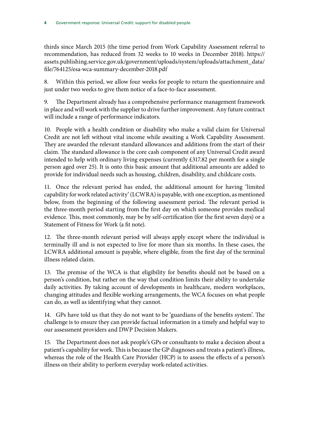thirds since March 2015 (the time period from Work Capability Assessment referral to recommendation, has reduced from 32 weeks to 10 weeks in December 2018). [https://](https://assets.publishing.service.gov.uk/government/uploads/system/uploads/attachment_data/file/764125/esa-wca-summary-december-2018.pdf) [assets.publishing.service.gov.uk/government/uploads/system/uploads/attachment\\_data/](https://assets.publishing.service.gov.uk/government/uploads/system/uploads/attachment_data/file/764125/esa-wca-summary-december-2018.pdf) [file/764125/esa-wca-summary-december-2018.pdf](https://assets.publishing.service.gov.uk/government/uploads/system/uploads/attachment_data/file/764125/esa-wca-summary-december-2018.pdf)

8. Within this period, we allow four weeks for people to return the questionnaire and just under two weeks to give them notice of a face-to-face assessment.

9. The Department already has a comprehensive performance management framework in place and will work with the supplier to drive further improvement. Any future contract will include a range of performance indicators.

10. People with a health condition or disability who make a valid claim for Universal Credit are not left without vital income while awaiting a Work Capability Assessment. They are awarded the relevant standard allowances and additions from the start of their claim. The standard allowance is the core cash component of any Universal Credit award intended to help with ordinary living expenses (currently £317.82 per month for a single person aged over 25). It is onto this basic amount that additional amounts are added to provide for individual needs such as housing, children, disability, and childcare costs.

11. Once the relevant period has ended, the additional amount for having 'limited capability for work related activity' (LCWRA) is payable, with one exception, as mentioned below, from the beginning of the following assessment period. The relevant period is the three-month period starting from the first day on which someone provides medical evidence. This, most commonly, may be by self-certification (for the first seven days) or a Statement of Fitness for Work (a fit note).

12. The three-month relevant period will always apply except where the individual is terminally ill and is not expected to live for more than six months. In these cases, the LCWRA additional amount is payable, where eligible, from the first day of the terminal illness related claim.

13. The premise of the WCA is that eligibility for benefits should not be based on a person's condition, but rather on the way that condition limits their ability to undertake daily activities. By taking account of developments in healthcare, modern workplaces, changing attitudes and flexible working arrangements, the WCA focuses on what people can do, as well as identifying what they cannot.

14. GPs have told us that they do not want to be 'guardians of the benefits system'. The challenge is to ensure they can provide factual information in a timely and helpful way to our assessment providers and DWP Decision Makers.

15. The Department does not ask people's GPs or consultants to make a decision about a patient's capability for work. This is because the GP diagnoses and treats a patient's illness, whereas the role of the Health Care Provider (HCP) is to assess the effects of a person's illness on their ability to perform everyday work-related activities.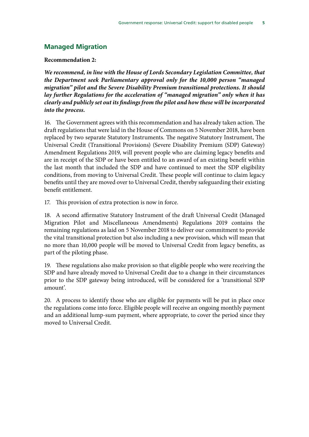### **Managed Migration**

#### **Recommendation 2:**

*We recommend, in line with the House of Lords Secondary Legislation Committee, that the Department seek Parliamentary approval only for the 10,000 person "managed migration" pilot and the Severe Disability Premium transitional protections. It should lay further Regulations for the acceleration of "managed migration" only when it has clearly and publicly set out its findings from the pilot and how these will be incorporated into the process.*

16. The Government agrees with this recommendation and has already taken action. The draft regulations that were laid in the House of Commons on 5 November 2018, have been replaced by two separate Statutory Instruments. The negative Statutory Instrument, The Universal Credit (Transitional Provisions) (Severe Disability Premium (SDP) Gateway) Amendment Regulations 2019, will prevent people who are claiming legacy benefits and are in receipt of the SDP or have been entitled to an award of an existing benefit within the last month that included the SDP and have continued to meet the SDP eligibility conditions, from moving to Universal Credit. These people will continue to claim legacy benefits until they are moved over to Universal Credit, thereby safeguarding their existing benefit entitlement.

17. This provision of extra protection is now in force.

18. A second affirmative Statutory Instrument of the draft Universal Credit (Managed Migration Pilot and Miscellaneous Amendments) Regulations 2019 contains the remaining regulations as laid on 5 November 2018 to deliver our commitment to provide the vital transitional protection but also including a new provision, which will mean that no more than 10,000 people will be moved to Universal Credit from legacy benefits, as part of the piloting phase.

19. These regulations also make provision so that eligible people who were receiving the SDP and have already moved to Universal Credit due to a change in their circumstances prior to the SDP gateway being introduced, will be considered for a 'transitional SDP amount'.

20. A process to identify those who are eligible for payments will be put in place once the regulations come into force. Eligible people will receive an ongoing monthly payment and an additional lump-sum payment, where appropriate, to cover the period since they moved to Universal Credit.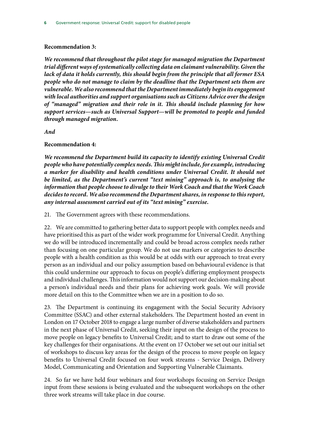#### **Recommendation 3:**

*We recommend that throughout the pilot stage for managed migration the Department trial different ways of systematically collecting data on claimant vulnerability. Given the lack of data it holds currently, this should begin from the principle that all former ESA people who do not manage to claim by the deadline that the Department sets them are vulnerable. We also recommend that the Department immediately begin its engagement with local authorities and support organisations such as Citizens Advice over the design of "managed" migration and their role in it. This should include planning for how support services—such as Universal Support—will be promoted to people and funded through managed migration.*

*And*

#### **Recommendation 4:**

*We recommend the Department build its capacity to identify existing Universal Credit people who have potentially complex needs. This might include, for example, introducing a marker for disability and health conditions under Universal Credit. It should not be limited, as the Department's current "text mining" approach is, to analysing the information that people choose to divulge to their Work Coach and that the Work Coach decides to record. We also recommend the Department shares, in response to this report, any internal assessment carried out of its "text mining" exercise.*

21. The Government agrees with these recommendations.

22. We are committed to gathering better data to support people with complex needs and have prioritised this as part of the wider work programme for Universal Credit. Anything we do will be introduced incrementally and could be broad across complex needs rather than focusing on one particular group. We do not use markers or categories to describe people with a health condition as this would be at odds with our approach to treat every person as an individual and our policy assumption based on behavioural evidence is that this could undermine our approach to focus on people's differing employment prospects and individual challenges. This information would not support our decision-making about a person's individual needs and their plans for achieving work goals. We will provide more detail on this to the Committee when we are in a position to do so.

23. The Department is continuing its engagement with the Social Security Advisory Committee (SSAC) and other external stakeholders. The Department hosted an event in London on 17 October 2018 to engage a large number of diverse stakeholders and partners in the next phase of Universal Credit, seeking their input on the design of the process to move people on legacy benefits to Universal Credit; and to start to draw out some of the key challenges for their organisations. At the event on 17 October we set out our initial set of workshops to discuss key areas for the design of the process to move people on legacy benefits to Universal Credit focused on four work streams - Service Design, Delivery Model, Communicating and Orientation and Supporting Vulnerable Claimants.

24. So far we have held four webinars and four workshops focusing on Service Design input from these sessions is being evaluated and the subsequent workshops on the other three work streams will take place in due course.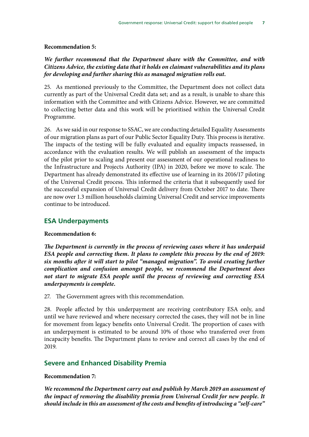#### **Recommendation 5:**

#### *We further recommend that the Department share with the Committee, and with Citizens Advice, the existing data that it holds on claimant vulnerabilities and its plans for developing and further sharing this as managed migration rolls out.*

25. As mentioned previously to the Committee, the Department does not collect data currently as part of the Universal Credit data set; and as a result, is unable to share this information with the Committee and with Citizens Advice. However, we are committed to collecting better data and this work will be prioritised within the Universal Credit Programme.

26. As we said in our response to SSAC, we are conducting detailed Equality Assessments of our migration plans as part of our Public Sector Equality Duty. This process is iterative. The impacts of the testing will be fully evaluated and equality impacts reassessed, in accordance with the evaluation results. We will publish an assessment of the impacts of the pilot prior to scaling and present our assessment of our operational readiness to the Infrastructure and Projects Authority (IPA) in 2020, before we move to scale. The Department has already demonstrated its effective use of learning in its 2016/17 piloting of the Universal Credit process. This informed the criteria that it subsequently used for the successful expansion of Universal Credit delivery from October 2017 to date. There are now over 1.3 million households claiming Universal Credit and service improvements continue to be introduced.

#### **ESA Underpayments**

#### **Recommendation 6:**

*The Department is currently in the process of reviewing cases where it has underpaid ESA people and correcting them. It plans to complete this process by the end of 2019: six months after it will start to pilot "managed migration". To avoid creating further complication and confusion amongst people, we recommend the Department does not start to migrate ESA people until the process of reviewing and correcting ESA underpayments is complete.*

27. The Government agrees with this recommendation.

28. People affected by this underpayment are receiving contributory ESA only, and until we have reviewed and where necessary corrected the cases, they will not be in line for movement from legacy benefits onto Universal Credit. The proportion of cases with an underpayment is estimated to be around 10% of those who transferred over from incapacity benefits. The Department plans to review and correct all cases by the end of 2019.

#### **Severe and Enhanced Disability Premia**

#### **Recommendation 7:**

*We recommend the Department carry out and publish by March 2019 an assessment of the impact of removing the disability premia from Universal Credit for new people. It should include in this an assessment of the costs and benefits of introducing a "self-care"*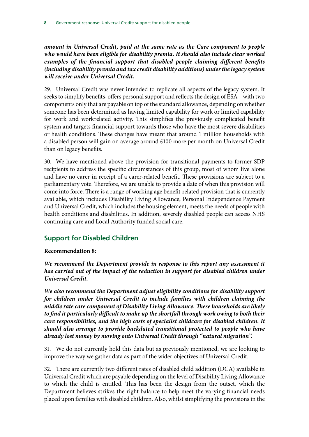*amount in Universal Credit, paid at the same rate as the Care component to people who would have been eligible for disability premia. It should also include clear worked examples of the financial support that disabled people claiming different benefits (including disability premia and tax credit disability additions) under the legacy system will receive under Universal Credit.*

29. Universal Credit was never intended to replicate all aspects of the legacy system. It seeks to simplify benefits, offers personal support and reflects the design of ESA – with two components only that are payable on top of the standard allowance, depending on whether someone has been determined as having limited capability for work or limited capability for work and workrelated activity. This simplifies the previously complicated benefit system and targets financial support towards those who have the most severe disabilities or health conditions. These changes have meant that around 1 million households with a disabled person will gain on average around £100 more per month on Universal Credit than on legacy benefits.

30. We have mentioned above the provision for transitional payments to former SDP recipients to address the specific circumstances of this group, most of whom live alone and have no carer in receipt of a carer-related benefit. These provisions are subject to a parliamentary vote. Therefore, we are unable to provide a date of when this provision will come into force. There is a range of working age benefit-related provision that is currently available, which includes Disability Living Allowance, Personal Independence Payment and Universal Credit, which includes the housing element, meets the needs of people with health conditions and disabilities. In addition, severely disabled people can access NHS continuing care and Local Authority funded social care.

## **Support for Disabled Children**

#### **Recommendation 8:**

*We recommend the Department provide in response to this report any assessment it*  has carried out of the impact of the reduction in support for disabled children under *Universal Credit.*

*We also recommend the Department adjust eligibility conditions for disability support for children under Universal Credit to include families with children claiming the middle rate care component of Disability Living Allowance. These households are likely to find it particularly difficult to make up the shortfall through work owing to both their care responsibilities, and the high costs of specialist childcare for disabled children. It should also arrange to provide backdated transitional protected to people who have already lost money by moving onto Universal Credit through "natural migration".*

31. We do not currently hold this data but as previously mentioned, we are looking to improve the way we gather data as part of the wider objectives of Universal Credit.

32. There are currently two different rates of disabled child addition (DCA) available in Universal Credit which are payable depending on the level of Disability Living Allowance to which the child is entitled. This has been the design from the outset, which the Department believes strikes the right balance to help meet the varying financial needs placed upon families with disabled children. Also, whilst simplifying the provisions in the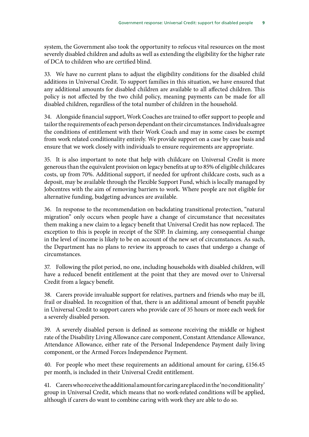system, the Government also took the opportunity to refocus vital resources on the most severely disabled children and adults as well as extending the eligibility for the higher rate of DCA to children who are certified blind.

33. We have no current plans to adjust the eligibility conditions for the disabled child additions in Universal Credit. To support families in this situation, we have ensured that any additional amounts for disabled children are available to all affected children. This policy is not affected by the two child policy, meaning payments can be made for all disabled children, regardless of the total number of children in the household.

34. Alongside financial support, Work Coaches are trained to offer support to people and tailor the requirements of each person dependant on their circumstances. Individuals agree the conditions of entitlement with their Work Coach and may in some cases be exempt from work related conditionality entirely. We provide support on a case by case basis and ensure that we work closely with individuals to ensure requirements are appropriate.

35. It is also important to note that help with childcare on Universal Credit is more generous than the equivalent provision on legacy benefits at up to 85% of eligible childcares costs, up from 70%. Additional support, if needed for upfront childcare costs, such as a deposit, may be available through the Flexible Support Fund, which is locally managed by Jobcentres with the aim of removing barriers to work. Where people are not eligible for alternative funding, budgeting advances are available.

36. In response to the recommendation on backdating transitional protection, "natural migration" only occurs when people have a change of circumstance that necessitates them making a new claim to a legacy benefit that Universal Credit has now replaced. The exception to this is people in receipt of the SDP. In claiming, any consequential change in the level of income is likely to be on account of the new set of circumstances. As such, the Department has no plans to review its approach to cases that undergo a change of circumstances.

37. Following the pilot period, no one, including households with disabled children, will have a reduced benefit entitlement at the point that they are moved over to Universal Credit from a legacy benefit.

38. Carers provide invaluable support for relatives, partners and friends who may be ill, frail or disabled. In recognition of that, there is an additional amount of benefit payable in Universal Credit to support carers who provide care of 35 hours or more each week for a severely disabled person.

39. A severely disabled person is defined as someone receiving the middle or highest rate of the Disability Living Allowance care component, Constant Attendance Allowance, Attendance Allowance, either rate of the Personal Independence Payment daily living component, or the Armed Forces Independence Payment.

40. For people who meet these requirements an additional amount for caring, £156.45 per month, is included in their Universal Credit entitlement.

41. Carers who receive the additional amount for caring are placed in the 'no conditionality' group in Universal Credit, which means that no work-related conditions will be applied, although if carers do want to combine caring with work they are able to do so.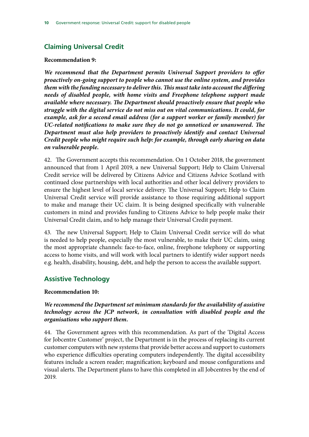# **Claiming Universal Credit**

#### **Recommendation 9:**

*We recommend that the Department permits Universal Support providers to offer proactively on-going support to people who cannot use the online system, and provides them with the funding necessary to deliver this. This must take into account the differing needs of disabled people, with home visits and Freephone telephone support made available where necessary. The Department should proactively ensure that people who struggle with the digital service do not miss out on vital communications. It could, for example, ask for a second email address (for a support worker or family member) for UC-related notifications to make sure they do not go unnoticed or unanswered. The Department must also help providers to proactively identify and contact Universal Credit people who might require such help: for example, through early sharing on data on vulnerable people.*

42. The Government accepts this recommendation. On 1 October 2018, the government announced that from 1 April 2019, a new Universal Support; Help to Claim Universal Credit service will be delivered by Citizens Advice and Citizens Advice Scotland with continued close partnerships with local authorities and other local delivery providers to ensure the highest level of local service delivery. The Universal Support; Help to Claim Universal Credit service will provide assistance to those requiring additional support to make and manage their UC claim. It is being designed specifically with vulnerable customers in mind and provides funding to Citizens Advice to help people make their Universal Credit claim, and to help manage their Universal Credit payment.

43. The new Universal Support; Help to Claim Universal Credit service will do what is needed to help people, especially the most vulnerable, to make their UC claim, using the most appropriate channels: face-to-face, online, freephone telephony or supporting access to home visits, and will work with local partners to identify wider support needs e.g. health, disability, housing, debt, and help the person to access the available support.

## **Assistive Technology**

#### **Recommendation 10:**

#### *We recommend the Department set minimum standards for the availability of assistive technology across the JCP network, in consultation with disabled people and the organisations who support them.*

44. The Government agrees with this recommendation. As part of the 'Digital Access for Jobcentre Customer' project, the Department is in the process of replacing its current customer computers with new systems that provide better access and support to customers who experience difficulties operating computers independently. The digital accessibility features include a screen reader; magnification; keyboard and mouse configurations and visual alerts. The Department plans to have this completed in all Jobcentres by the end of 2019.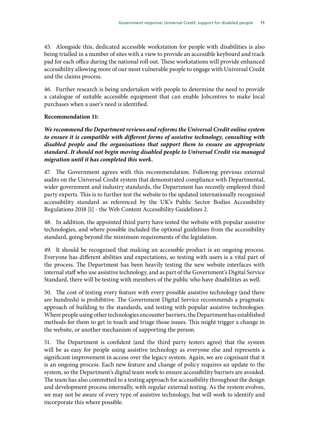45. Alongside this, dedicated accessible workstation for people with disabilities is also being trialled in a number of sites with a view to provide an accessible keyboard and track pad for each office during the national roll out. These workstations will provide enhanced accessibility allowing more of our most vulnerable people to engage with Universal Credit and the claims process.

46. Further research is being undertaken with people to determine the need to provide a catalogue of suitable accessible equipment that can enable Jobcentres to make local purchases when a user's need is identified.

#### **Recommendation 11:**

*We recommend the Department reviews and reforms the Universal Credit online system to ensure it is compatible with different forms of assistive technology, consulting with disabled people and the organisations that support them to ensure an appropriate standard. It should not begin moving disabled people to Universal Credit via managed migration until it has completed this work.*

47. The Government agrees with this recommendation. Following previous external audits on the Universal Credit system that demonstrated compliance with Departmental, wider government and industry standards, the Department has recently employed third party experts. This is to further test the website to the updated internationally recognised accessibility standard as referenced by the UK's Public Sector Bodies Accessibility Regulations 2018 [1] - the Web Content Accessibility Guidelines 2.

48. In addition, the appointed third party have tested the website with popular assistive technologies, and where possible included the optional guidelines from the accessibility standard, going beyond the minimum requirements of the legislation.

49. It should be recognised that making an accessible product is an ongoing process. Everyone has different abilities and expectations, so testing with users is a vital part of the process. The Department has been heavily testing the new website interfaces with internal staff who use assistive technology, and as part of the Government's Digital Service Standard, there will be testing with members of the public who have disabilities as well.

50. The cost of testing every feature with every possible assistive technology (and there are hundreds) is prohibitive. The Government Digital Service recommends a pragmatic approach of building to the standards, and testing with popular assistive technologies. Where people using other technologies encounter barriers, the Department has established methods for them to get in touch and triage those issues. This might trigger a change in the website, or another mechanism of supporting the person.

51. The Department is confident (and the third party testers agree) that the system will be as easy for people using assistive technology as everyone else and represents a significant improvement in access over the legacy system. Again, we are cognisant that it is an ongoing process. Each new feature and change of policy requires an update to the system, so the Department's digital team work to ensure accessibility barriers are avoided. The team has also committed to a testing approach for accessibility throughout the design and development process internally, with regular external testing. As the system evolves, we may not be aware of every type of assistive technology, but will work to identify and incorporate this where possible.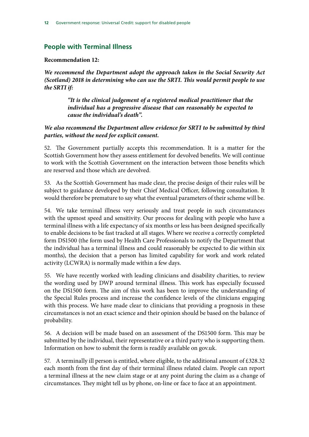# **People with Terminal Illness**

#### **Recommendation 12:**

*We recommend the Department adopt the approach taken in the Social Security Act (Scotland) 2018 in determining who can use the SRTI. This would permit people to use the SRTI if:*

> *"It is the clinical judgement of a registered medical practitioner that the individual has a progressive disease that can reasonably be expected to cause the individual's death".*

### *We also recommend the Department allow evidence for SRTI to be submitted by third parties, without the need for explicit consent.*

52. The Government partially accepts this recommendation. It is a matter for the Scottish Government how they assess entitlement for devolved benefits. We will continue to work with the Scottish Government on the interaction between those benefits which are reserved and those which are devolved.

53. As the Scottish Government has made clear, the precise design of their rules will be subject to guidance developed by their Chief Medical Officer, following consultation. It would therefore be premature to say what the eventual parameters of their scheme will be.

54. We take terminal illness very seriously and treat people in such circumstances with the upmost speed and sensitivity. Our process for dealing with people who have a terminal illness with a life expectancy of six months or less has been designed specifically to enable decisions to be fast tracked at all stages. Where we receive a correctly completed form DS1500 (the form used by Health Care Professionals to notify the Department that the individual has a terminal illness and could reasonably be expected to die within six months), the decision that a person has limited capability for work and work related activity (LCWRA) is normally made within a few days.

55. We have recently worked with leading clinicians and disability charities, to review the wording used by DWP around terminal illness. This work has especially focussed on the DS1500 form. The aim of this work has been to improve the understanding of the Special Rules process and increase the confidence levels of the clinicians engaging with this process. We have made clear to clinicians that providing a prognosis in these circumstances is not an exact science and their opinion should be based on the balance of probability.

56. A decision will be made based on an assessment of the DS1500 form. This may be submitted by the individual, their representative or a third party who is supporting them. Information on how to submit the form is readily available on gov.uk.

57. A terminally ill person is entitled, where eligible, to the additional amount of £328.32 each month from the first day of their terminal illness related claim. People can report a terminal illness at the new claim stage or at any point during the claim as a change of circumstances. They might tell us by phone, on-line or face to face at an appointment.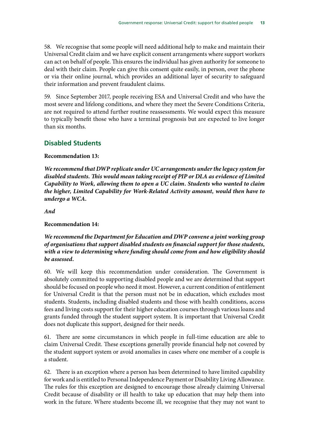58. We recognise that some people will need additional help to make and maintain their Universal Credit claim and we have explicit consent arrangements where support workers can act on behalf of people. This ensures the individual has given authority for someone to deal with their claim. People can give this consent quite easily, in person, over the phone or via their online journal, which provides an additional layer of security to safeguard their information and prevent fraudulent claims.

59. Since September 2017, people receiving ESA and Universal Credit and who have the most severe and lifelong conditions, and where they meet the Severe Conditions Criteria, are not required to attend further routine reassessments. We would expect this measure to typically benefit those who have a terminal prognosis but are expected to live longer than six months.

# **Disabled Students**

#### **Recommendation 13:**

*We recommend that DWP replicate under UC arrangements under the legacy system for disabled students. This would mean taking receipt of PIP or DLA as evidence of Limited Capability to Work, allowing them to open a UC claim. Students who wanted to claim the higher, Limited Capability for Work-Related Activity amount, would then have to undergo a WCA.*

*And*

#### **Recommendation 14:**

*We recommend the Department for Education and DWP convene a joint working group of organisations that support disabled students on financial support for those students, with a view to determining where funding should come from and how eligibility should be assessed.*

60. We will keep this recommendation under consideration. The Government is absolutely committed to supporting disabled people and we are determined that support should be focused on people who need it most. However, a current condition of entitlement for Universal Credit is that the person must not be in education, which excludes most students. Students, including disabled students and those with health conditions, access fees and living costs support for their higher education courses through various loans and grants funded through the student support system. It is important that Universal Credit does not duplicate this support, designed for their needs.

61. There are some circumstances in which people in full-time education are able to claim Universal Credit. These exceptions generally provide financial help not covered by the student support system or avoid anomalies in cases where one member of a couple is a student.

62. There is an exception where a person has been determined to have limited capability for work and is entitled to Personal Independence Payment or Disability Living Allowance. The rules for this exception are designed to encourage those already claiming Universal Credit because of disability or ill health to take up education that may help them into work in the future. Where students become ill, we recognise that they may not want to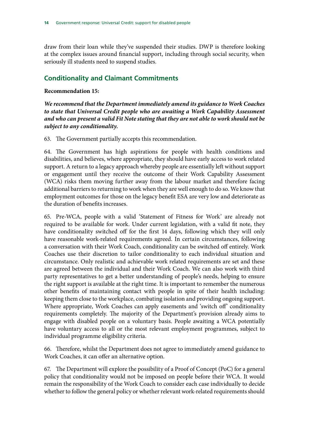draw from their loan while they've suspended their studies. DWP is therefore looking at the complex issues around financial support, including through social security, when seriously ill students need to suspend studies.

# **Conditionality and Claimant Commitments**

#### **Recommendation 15:**

*We recommend that the Department immediately amend its guidance to Work Coaches to state that Universal Credit people who are awaiting a Work Capability Assessment and who can present a valid Fit Note stating that they are not able to work should not be subject to any conditionality.*

63. The Government partially accepts this recommendation.

64. The Government has high aspirations for people with health conditions and disabilities, and believes, where appropriate, they should have early access to work related support. A return to a legacy approach whereby people are essentially left without support or engagement until they receive the outcome of their Work Capability Assessment (WCA) risks them moving further away from the labour market and therefore facing additional barriers to returning to work when they are well enough to do so. We know that employment outcomes for those on the legacy benefit ESA are very low and deteriorate as the duration of benefits increases.

65. Pre-WCA, people with a valid 'Statement of Fitness for Work' are already not required to be available for work. Under current legislation, with a valid fit note, they have conditionality switched off for the first 14 days, following which they will only have reasonable work-related requirements agreed. In certain circumstances, following a conversation with their Work Coach, conditionality can be switched off entirely. Work Coaches use their discretion to tailor conditionality to each individual situation and circumstance. Only realistic and achievable work related requirements are set and these are agreed between the individual and their Work Coach. We can also work with third party representatives to get a better understanding of people's needs, helping to ensure the right support is available at the right time. It is important to remember the numerous other benefits of maintaining contact with people in spite of their health including: keeping them close to the workplace, combating isolation and providing ongoing support. Where appropriate, Work Coaches can apply easements and 'switch off' conditionality requirements completely. The majority of the Department's provision already aims to engage with disabled people on a voluntary basis. People awaiting a WCA potentially have voluntary access to all or the most relevant employment programmes, subject to individual programme eligibility criteria.

66. Therefore, whilst the Department does not agree to immediately amend guidance to Work Coaches, it can offer an alternative option.

67. The Department will explore the possibility of a Proof of Concept (PoC) for a general policy that conditionality would not be imposed on people before their WCA. It would remain the responsibility of the Work Coach to consider each case individually to decide whether to follow the general policy or whether relevant work-related requirements should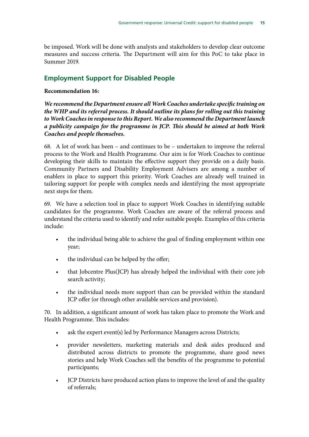be imposed. Work will be done with analysts and stakeholders to develop clear outcome measures and success criteria. The Department will aim for this PoC to take place in Summer 2019.

# **Employment Support for Disabled People**

#### **Recommendation 16:**

*We recommend the Department ensure all Work Coaches undertake specific training on the WHP and its referral process. It should outline its plans for rolling out this training to Work Coaches in response to this Report. We also recommend the Department launch a publicity campaign for the programme in JCP. This should be aimed at both Work Coaches and people themselves.*

68. A lot of work has been – and continues to be – undertaken to improve the referral process to the Work and Health Programme. Our aim is for Work Coaches to continue developing their skills to maintain the effective support they provide on a daily basis. Community Partners and Disability Employment Advisers are among a number of enablers in place to support this priority. Work Coaches are already well trained in tailoring support for people with complex needs and identifying the most appropriate next steps for them.

69. We have a selection tool in place to support Work Coaches in identifying suitable candidates for the programme. Work Coaches are aware of the referral process and understand the criteria used to identify and refer suitable people. Examples of this criteria include:

- the individual being able to achieve the goal of finding employment within one year;
- the individual can be helped by the offer;
- that Jobcentre Plus(JCP) has already helped the individual with their core job search activity;
- the individual needs more support than can be provided within the standard JCP offer (or through other available services and provision).

70. In addition, a significant amount of work has taken place to promote the Work and Health Programme. This includes:

- ask the expert event(s) led by Performance Managers across Districts;
- provider newsletters, marketing materials and desk aides produced and distributed across districts to promote the programme, share good news stories and help Work Coaches sell the benefits of the programme to potential participants;
- JCP Districts have produced action plans to improve the level of and the quality of referrals;